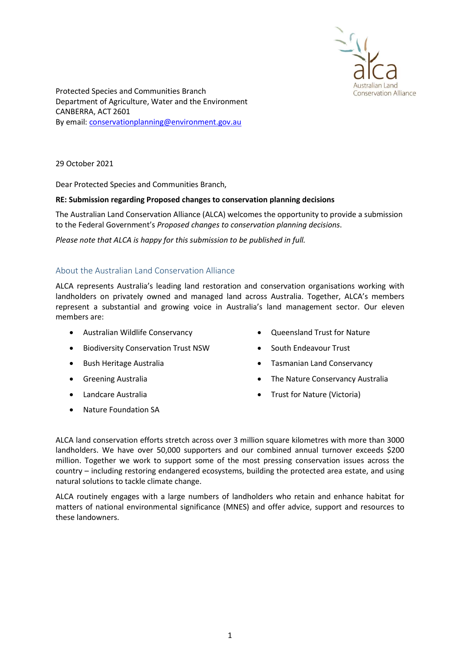

Protected Species and Communities Branch Department of Agriculture, Water and the Environment CANBERRA, ACT 2601 By email: conservationplanning@environment.gov.au

29 October 2021

Dear Protected Species and Communities Branch,

## RE: Submission regarding Proposed changes to conservation planning decisions

The Australian Land Conservation Alliance (ALCA) welcomes the opportunity to provide a submission to the Federal Government's Proposed changes to conservation planning decisions.

Please note that ALCA is happy for this submission to be published in full.

## About the Australian Land Conservation Alliance

ALCA represents Australia's leading land restoration and conservation organisations working with landholders on privately owned and managed land across Australia. Together, ALCA's members represent a substantial and growing voice in Australia's land management sector. Our eleven members are:

- Australian Wildlife Conservancy
- **•** Biodiversity Conservation Trust NSW
- Bush Heritage Australia
- **•** Greening Australia
- Landcare Australia
- Nature Foundation SA
- Oueensland Trust for Nature
- South Endeavour Trust
- Tasmanian Land Conservancy
- The Nature Conservancy Australia
- Trust for Nature (Victoria)

ALCA land conservation efforts stretch across over 3 million square kilometres with more than 3000 landholders. We have over 50,000 supporters and our combined annual turnover exceeds \$200 million. Together we work to support some of the most pressing conservation issues across the country – including restoring endangered ecosystems, building the protected area estate, and using natural solutions to tackle climate change.

ALCA routinely engages with a large numbers of landholders who retain and enhance habitat for matters of national environmental significance (MNES) and offer advice, support and resources to these landowners.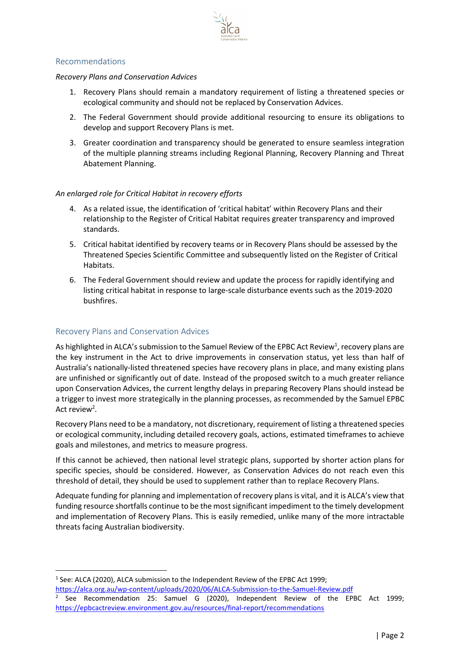

## Recommendations

#### Recovery Plans and Conservation Advices

- 1. Recovery Plans should remain a mandatory requirement of listing a threatened species or ecological community and should not be replaced by Conservation Advices.
- 2. The Federal Government should provide additional resourcing to ensure its obligations to develop and support Recovery Plans is met.
- 3. Greater coordination and transparency should be generated to ensure seamless integration of the multiple planning streams including Regional Planning, Recovery Planning and Threat Abatement Planning.

## An enlarged role for Critical Habitat in recovery efforts

- 4. As a related issue, the identification of 'critical habitat' within Recovery Plans and their relationship to the Register of Critical Habitat requires greater transparency and improved standards.
- 5. Critical habitat identified by recovery teams or in Recovery Plans should be assessed by the Threatened Species Scientific Committee and subsequently listed on the Register of Critical Habitats.
- 6. The Federal Government should review and update the process for rapidly identifying and listing critical habitat in response to large-scale disturbance events such as the 2019-2020 bushfires.

# Recovery Plans and Conservation Advices

As highlighted in ALCA's submission to the Samuel Review of the EPBC Act Review<sup>1</sup>, recovery plans are the key instrument in the Act to drive improvements in conservation status, yet less than half of Australia's nationally-listed threatened species have recovery plans in place, and many existing plans are unfinished or significantly out of date. Instead of the proposed switch to a much greater reliance upon Conservation Advices, the current lengthy delays in preparing Recovery Plans should instead be a trigger to invest more strategically in the planning processes, as recommended by the Samuel EPBC Act review<sup>2</sup>.

Recovery Plans need to be a mandatory, not discretionary, requirement of listing a threatened species or ecological community, including detailed recovery goals, actions, estimated timeframes to achieve goals and milestones, and metrics to measure progress.

If this cannot be achieved, then national level strategic plans, supported by shorter action plans for specific species, should be considered. However, as Conservation Advices do not reach even this threshold of detail, they should be used to supplement rather than to replace Recovery Plans.

Adequate funding for planning and implementation of recovery plans is vital, and it is ALCA's view that funding resource shortfalls continue to be the most significant impediment to the timely development and implementation of Recovery Plans. This is easily remedied, unlike many of the more intractable threats facing Australian biodiversity.

<sup>1</sup> See: ALCA (2020), ALCA submission to the Independent Review of the EPBC Act 1999; https://alca.org.au/wp-content/uploads/2020/06/ALCA-Submission-to-the-Samuel-Review.pdf

<sup>2</sup> See Recommendation 25: Samuel G (2020), Independent Review of the EPBC Act 1999; https://epbcactreview.environment.gov.au/resources/final-report/recommendations